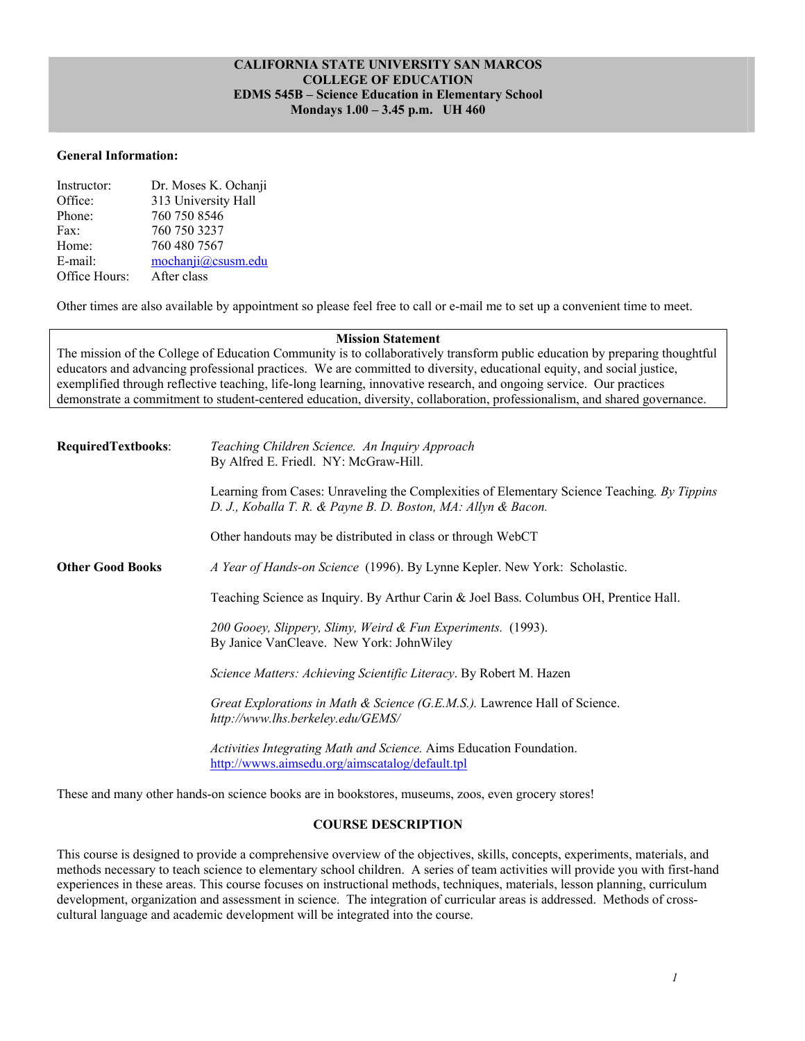## **CALIFORNIA STATE UNIVERSITY SAN MARCOS COLLEGE OF EDUCATION EDMS 545B – Science Education in Elementary School Mondays 1.00 – 3.45 p.m. UH 460**

### **General Information:**

| Instructor:   | Dr. Moses K. Ochanji |
|---------------|----------------------|
| Office:       | 313 University Hall  |
| Phone:        | 760 750 8546         |
| Fax:          | 760 750 3237         |
| Home:         | 760 480 7567         |
| E-mail:       | mochanii@cssusm.edu  |
| Office Hours: | After class          |

Other times are also available by appointment so please feel free to call or e-mail me to set up a convenient time to meet.

#### **Mission Statement**

The mission of the College of Education Community is to collaboratively transform public education by preparing thoughtful educators and advancing professional practices. We are committed to diversity, educational equity, and social justice, exemplified through reflective teaching, life-long learning, innovative research, and ongoing service. Our practices demonstrate a commitment to student-centered education, diversity, collaboration, professionalism, and shared governance.

| <b>RequiredTextbooks:</b> | Teaching Children Science. An Inquiry Approach<br>By Alfred E. Friedl. NY: McGraw-Hill.                                                                      |
|---------------------------|--------------------------------------------------------------------------------------------------------------------------------------------------------------|
|                           | Learning from Cases: Unraveling the Complexities of Elementary Science Teaching. By Tippins<br>D. J., Koballa T. R. & Payne B. D. Boston, MA: Allyn & Bacon. |
|                           | Other handouts may be distributed in class or through WebCT                                                                                                  |
| <b>Other Good Books</b>   | A Year of Hands-on Science (1996). By Lynne Kepler. New York: Scholastic.                                                                                    |
|                           | Teaching Science as Inquiry. By Arthur Carin & Joel Bass. Columbus OH, Prentice Hall.                                                                        |
|                           | 200 Gooey, Slippery, Slimy, Weird & Fun Experiments. (1993).<br>By Janice VanCleave. New York: JohnWiley                                                     |
|                           | Science Matters: Achieving Scientific Literacy. By Robert M. Hazen                                                                                           |
|                           | Great Explorations in Math & Science (G.E.M.S.). Lawrence Hall of Science.<br>http://www.lhs.berkeley.edu/GEMS/                                              |
|                           | Activities Integrating Math and Science. Aims Education Foundation.<br>http://wwws.aimsedu.org/aimscatalog/default.tpl                                       |

These and many other hands-on science books are in bookstores, museums, zoos, even grocery stores!

# **COURSE DESCRIPTION**

This course is designed to provide a comprehensive overview of the objectives, skills, concepts, experiments, materials, and methods necessary to teach science to elementary school children. A series of team activities will provide you with first-hand experiences in these areas. This course focuses on instructional methods, techniques, materials, lesson planning, curriculum development, organization and assessment in science. The integration of curricular areas is addressed. Methods of crosscultural language and academic development will be integrated into the course.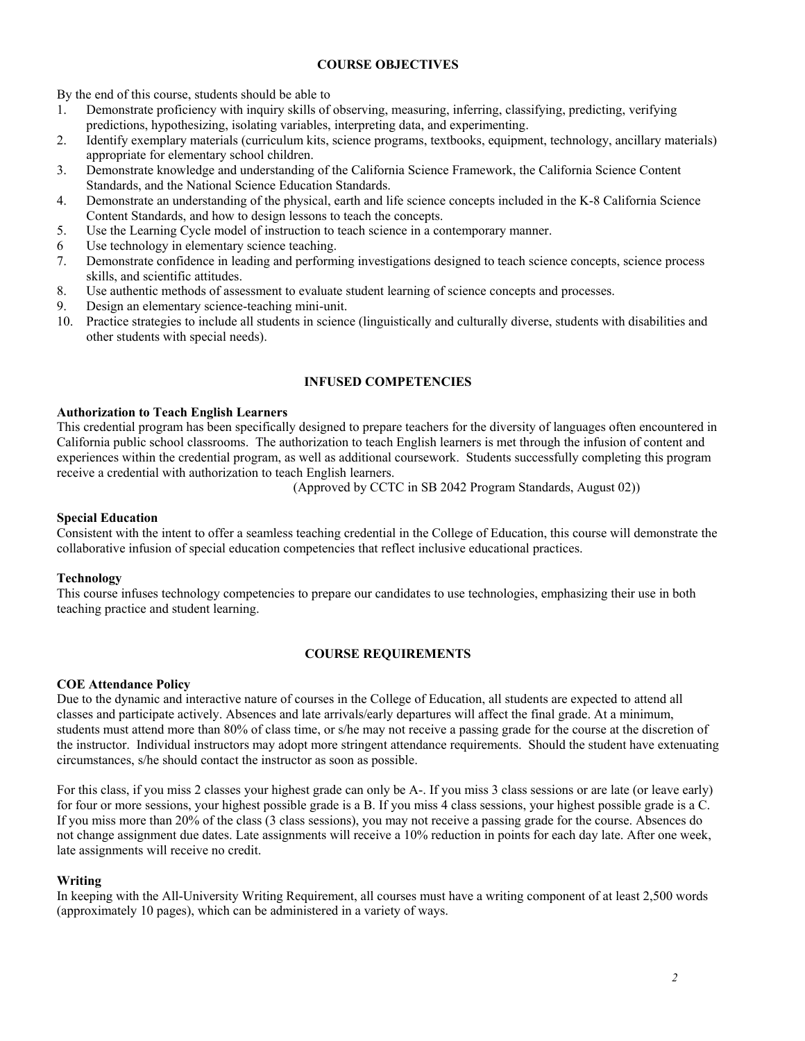# **COURSE OBJECTIVES**

By the end of this course, students should be able to

- 1. Demonstrate proficiency with inquiry skills of observing, measuring, inferring, classifying, predicting, verifying predictions, hypothesizing, isolating variables, interpreting data, and experimenting.
- 2. Identify exemplary materials (curriculum kits, science programs, textbooks, equipment, technology, ancillary materials) appropriate for elementary school children.
- 3. Demonstrate knowledge and understanding of the California Science Framework, the California Science Content Standards, and the National Science Education Standards.
- 4. Demonstrate an understanding of the physical, earth and life science concepts included in the K-8 California Science Content Standards, and how to design lessons to teach the concepts.
- 5. Use the Learning Cycle model of instruction to teach science in a contemporary manner.
- 6 Use technology in elementary science teaching.
- 7. Demonstrate confidence in leading and performing investigations designed to teach science concepts, science process skills, and scientific attitudes.
- 8. Use authentic methods of assessment to evaluate student learning of science concepts and processes.
- 9. Design an elementary science-teaching mini-unit.
- 10. Practice strategies to include all students in science (linguistically and culturally diverse, students with disabilities and other students with special needs).

### **INFUSED COMPETENCIES**

## **Authorization to Teach English Learners**

This credential program has been specifically designed to prepare teachers for the diversity of languages often encountered in California public school classrooms. The authorization to teach English learners is met through the infusion of content and experiences within the credential program, as well as additional coursework. Students successfully completing this program receive a credential with authorization to teach English learners.

(Approved by CCTC in SB 2042 Program Standards, August 02))

## **Special Education**

Consistent with the intent to offer a seamless teaching credential in the College of Education, this course will demonstrate the collaborative infusion of special education competencies that reflect inclusive educational practices.

### **Technology**

This course infuses technology competencies to prepare our candidates to use technologies, emphasizing their use in both teaching practice and student learning.

## **COURSE REQUIREMENTS**

### **COE Attendance Policy**

Due to the dynamic and interactive nature of courses in the College of Education, all students are expected to attend all classes and participate actively. Absences and late arrivals/early departures will affect the final grade. At a minimum, students must attend more than 80% of class time, or s/he may not receive a passing grade for the course at the discretion of the instructor. Individual instructors may adopt more stringent attendance requirements. Should the student have extenuating circumstances, s/he should contact the instructor as soon as possible.

For this class, if you miss 2 classes your highest grade can only be A-. If you miss 3 class sessions or are late (or leave early) for four or more sessions, your highest possible grade is a B. If you miss 4 class sessions, your highest possible grade is a C. If you miss more than 20% of the class (3 class sessions), you may not receive a passing grade for the course. Absences do not change assignment due dates. Late assignments will receive a 10% reduction in points for each day late. After one week, late assignments will receive no credit.

### **Writing**

In keeping with the All-University Writing Requirement, all courses must have a writing component of at least 2,500 words (approximately 10 pages), which can be administered in a variety of ways.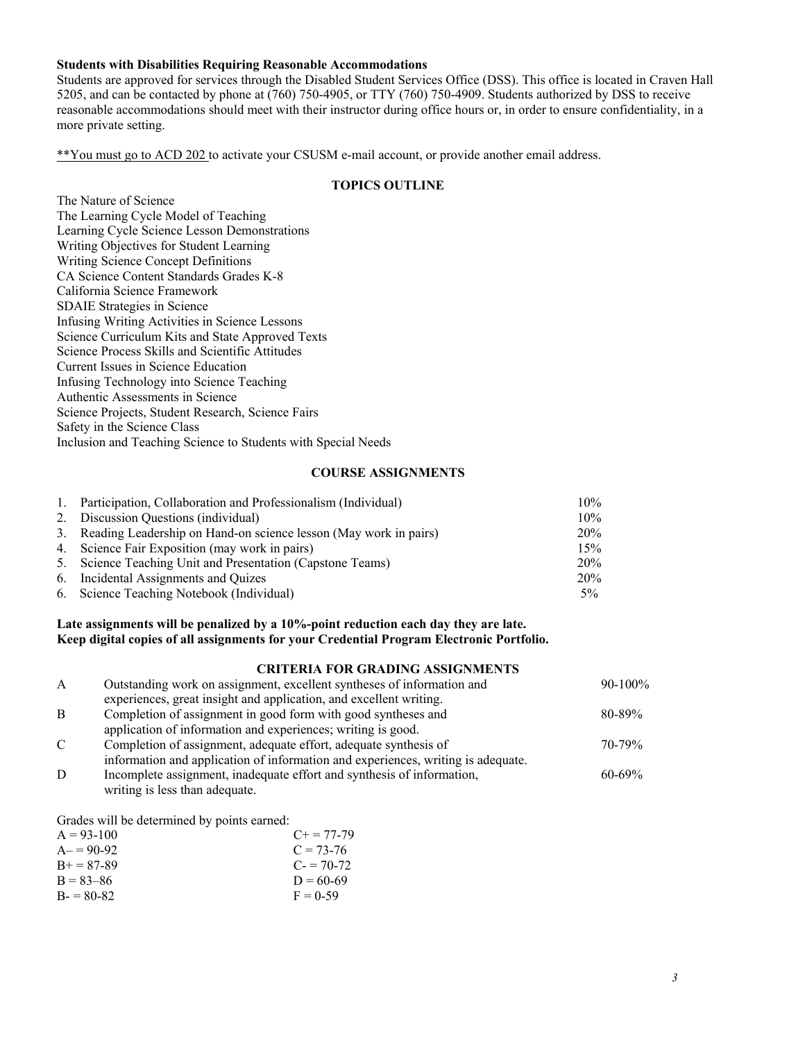# **Students with Disabilities Requiring Reasonable Accommodations**

Students are approved for services through the Disabled Student Services Office (DSS). This office is located in Craven Hall 5205, and can be contacted by phone at (760) 750-4905, or TTY (760) 750-4909. Students authorized by DSS to receive reasonable accommodations should meet with their instructor during office hours or, in order to ensure confidentiality, in a more private setting.

\*\*You must go to ACD 202 to activate your CSUSM e-mail account, or provide another email address.

## **TOPICS OUTLINE**

The Nature of Science The Learning Cycle Model of Teaching Learning Cycle Science Lesson Demonstrations Writing Objectives for Student Learning Writing Science Concept Definitions CA Science Content Standards Grades K-8 California Science Framework SDAIE Strategies in Science Infusing Writing Activities in Science Lessons Science Curriculum Kits and State Approved Texts Science Process Skills and Scientific Attitudes Current Issues in Science Education Infusing Technology into Science Teaching Authentic Assessments in Science Science Projects, Student Research, Science Fairs Safety in the Science Class Inclusion and Teaching Science to Students with Special Needs

### **COURSE ASSIGNMENTS**

| 1. Participation, Collaboration and Professionalism (Individual)    | $10\%$ |
|---------------------------------------------------------------------|--------|
| 2. Discussion Questions (individual)                                | $10\%$ |
| 3. Reading Leadership on Hand-on science lesson (May work in pairs) | 20%    |
| 4. Science Fair Exposition (may work in pairs)                      | 15%    |
| 5. Science Teaching Unit and Presentation (Capstone Teams)          | 20%    |
| 6. Incidental Assignments and Quizes                                | 20%    |
| 6. Science Teaching Notebook (Individual)                           | $5\%$  |

## **Late assignments will be penalized by a 10%-point reduction each day they are late. Keep digital copies of all assignments for your Credential Program Electronic Portfolio.**

# **CRITERIA FOR GRADING ASSIGNMENTS**

| $\mathbf{A}$  | Outstanding work on assignment, excellent syntheses of information and           | $90-100\%$  |
|---------------|----------------------------------------------------------------------------------|-------------|
|               | experiences, great insight and application, and excellent writing.               |             |
| <sup>B</sup>  | Completion of assignment in good form with good syntheses and                    | $80 - 89\%$ |
|               | application of information and experiences; writing is good.                     |             |
| $\mathcal{C}$ | Completion of assignment, adequate effort, adequate synthesis of                 | $70 - 79\%$ |
|               | information and application of information and experiences, writing is adequate. |             |
| D             | Incomplete assignment, inadequate effort and synthesis of information,           | $60 - 69\%$ |
|               | writing is less than adequate.                                                   |             |
|               |                                                                                  |             |

Grades will be determined by points earned:

| $A = 93-100$      | $C_{\pm} = 77 - 79$ |
|-------------------|---------------------|
| $A = 90-92$       | $C = 73-76$         |
| $B_{+} = 87 - 89$ | $C = 70-72$         |
| $B = 83 - 86$     | $D = 60-69$         |
| $B = 80-82$       | $F = 0.59$          |
|                   |                     |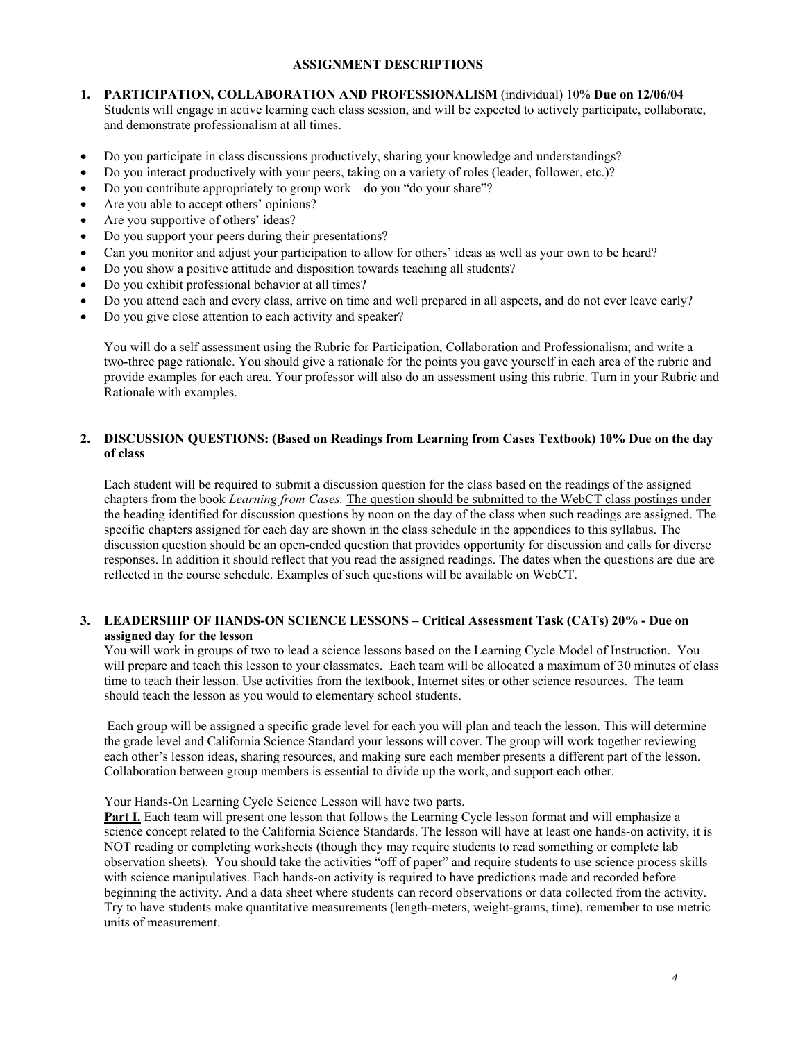## **ASSIGNMENT DESCRIPTIONS**

## **1. PARTICIPATION, COLLABORATION AND PROFESSIONALISM** (individual) 10% **Due on 12/06/04**

Students will engage in active learning each class session, and will be expected to actively participate, collaborate, and demonstrate professionalism at all times.

- Do you participate in class discussions productively, sharing your knowledge and understandings?
- Do you interact productively with your peers, taking on a variety of roles (leader, follower, etc.)?
- Do you contribute appropriately to group work—do you "do your share"?
- Are you able to accept others' opinions?
- Are you supportive of others' ideas?
- Do you support your peers during their presentations?
- Can you monitor and adjust your participation to allow for others' ideas as well as your own to be heard?
- Do you show a positive attitude and disposition towards teaching all students?
- Do you exhibit professional behavior at all times?
- Do you attend each and every class, arrive on time and well prepared in all aspects, and do not ever leave early?
- Do you give close attention to each activity and speaker?

You will do a self assessment using the Rubric for Participation, Collaboration and Professionalism; and write a two-three page rationale. You should give a rationale for the points you gave yourself in each area of the rubric and provide examples for each area. Your professor will also do an assessment using this rubric. Turn in your Rubric and Rationale with examples.

## **2. DISCUSSION QUESTIONS: (Based on Readings from Learning from Cases Textbook) 10% Due on the day of class**

Each student will be required to submit a discussion question for the class based on the readings of the assigned chapters from the book *Learning from Cases.* The question should be submitted to the WebCT class postings under the heading identified for discussion questions by noon on the day of the class when such readings are assigned. The specific chapters assigned for each day are shown in the class schedule in the appendices to this syllabus. The discussion question should be an open-ended question that provides opportunity for discussion and calls for diverse responses. In addition it should reflect that you read the assigned readings. The dates when the questions are due are reflected in the course schedule. Examples of such questions will be available on WebCT.

### **3. LEADERSHIP OF HANDS-ON SCIENCE LESSONS – Critical Assessment Task (CATs) 20% - Due on assigned day for the lesson**

You will work in groups of two to lead a science lessons based on the Learning Cycle Model of Instruction. You will prepare and teach this lesson to your classmates. Each team will be allocated a maximum of 30 minutes of class time to teach their lesson. Use activities from the textbook, Internet sites or other science resources. The team should teach the lesson as you would to elementary school students.

Each group will be assigned a specific grade level for each you will plan and teach the lesson. This will determine the grade level and California Science Standard your lessons will cover. The group will work together reviewing each other's lesson ideas, sharing resources, and making sure each member presents a different part of the lesson. Collaboration between group members is essential to divide up the work, and support each other.

### Your Hands-On Learning Cycle Science Lesson will have two parts.

**Part I.** Each team will present one lesson that follows the Learning Cycle lesson format and will emphasize a science concept related to the California Science Standards. The lesson will have at least one hands-on activity, it is NOT reading or completing worksheets (though they may require students to read something or complete lab observation sheets). You should take the activities "off of paper" and require students to use science process skills with science manipulatives. Each hands-on activity is required to have predictions made and recorded before beginning the activity. And a data sheet where students can record observations or data collected from the activity. Try to have students make quantitative measurements (length-meters, weight-grams, time), remember to use metric units of measurement.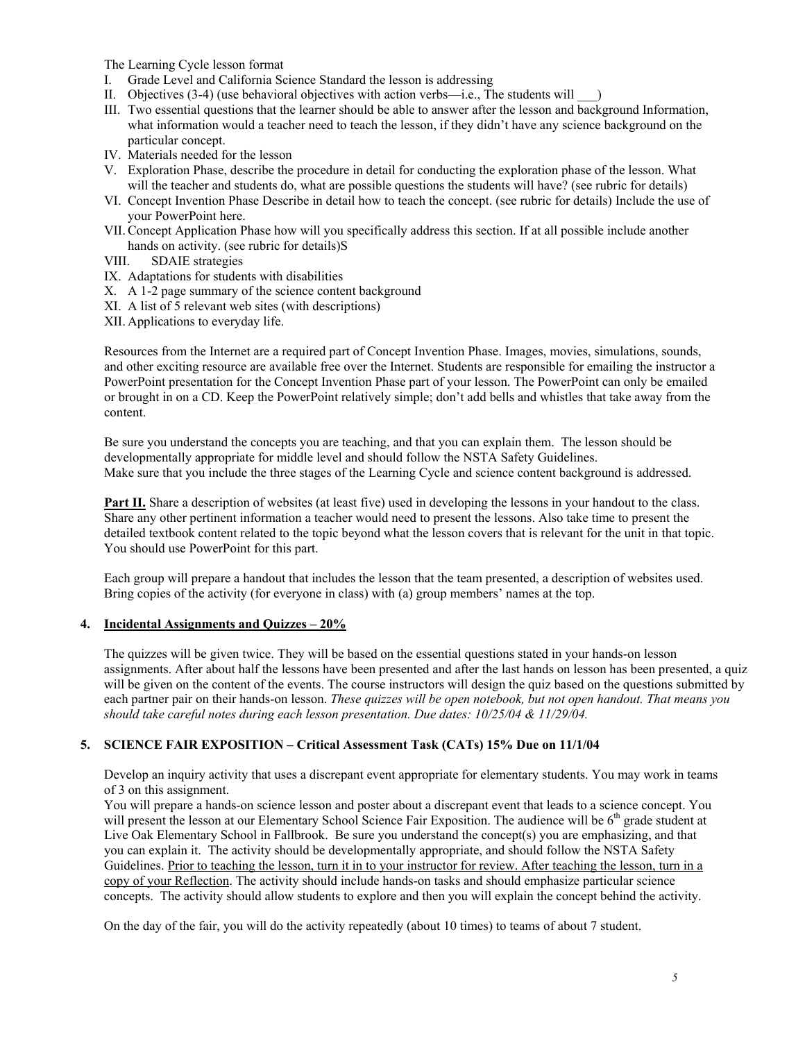The Learning Cycle lesson format

- I. Grade Level and California Science Standard the lesson is addressing
- II. Objectives  $(3-4)$  (use behavioral objectives with action verbs—i.e., The students will  $\qquad$ )
- III. Two essential questions that the learner should be able to answer after the lesson and background Information, what information would a teacher need to teach the lesson, if they didn't have any science background on the particular concept.
- IV. Materials needed for the lesson
- V. Exploration Phase, describe the procedure in detail for conducting the exploration phase of the lesson. What will the teacher and students do, what are possible questions the students will have? (see rubric for details)
- VI. Concept Invention Phase Describe in detail how to teach the concept. (see rubric for details) Include the use of your PowerPoint here.
- VII.Concept Application Phase how will you specifically address this section. If at all possible include another hands on activity. (see rubric for details)S
- VIII. SDAIE strategies
- IX. Adaptations for students with disabilities
- X. A 1-2 page summary of the science content background
- XI. A list of 5 relevant web sites (with descriptions)
- XII. Applications to everyday life.

Resources from the Internet are a required part of Concept Invention Phase. Images, movies, simulations, sounds, and other exciting resource are available free over the Internet. Students are responsible for emailing the instructor a PowerPoint presentation for the Concept Invention Phase part of your lesson. The PowerPoint can only be emailed or brought in on a CD. Keep the PowerPoint relatively simple; don't add bells and whistles that take away from the content.

Be sure you understand the concepts you are teaching, and that you can explain them. The lesson should be developmentally appropriate for middle level and should follow the NSTA Safety Guidelines. Make sure that you include the three stages of the Learning Cycle and science content background is addressed.

**Part II.** Share a description of websites (at least five) used in developing the lessons in your handout to the class. Share any other pertinent information a teacher would need to present the lessons. Also take time to present the detailed textbook content related to the topic beyond what the lesson covers that is relevant for the unit in that topic. You should use PowerPoint for this part.

Each group will prepare a handout that includes the lesson that the team presented, a description of websites used. Bring copies of the activity (for everyone in class) with (a) group members' names at the top.

### **4. Incidental Assignments and Quizzes – 20%**

The quizzes will be given twice. They will be based on the essential questions stated in your hands-on lesson assignments. After about half the lessons have been presented and after the last hands on lesson has been presented, a quiz will be given on the content of the events. The course instructors will design the quiz based on the questions submitted by each partner pair on their hands-on lesson. *These quizzes will be open notebook, but not open handout. That means you should take careful notes during each lesson presentation. Due dates: 10/25/04 & 11/29/04.* 

## **5. SCIENCE FAIR EXPOSITION – Critical Assessment Task (CATs) 15% Due on 11/1/04**

Develop an inquiry activity that uses a discrepant event appropriate for elementary students. You may work in teams of 3 on this assignment.

You will prepare a hands-on science lesson and poster about a discrepant event that leads to a science concept. You will present the lesson at our Elementary School Science Fair Exposition. The audience will be  $6<sup>th</sup>$  grade student at Live Oak Elementary School in Fallbrook. Be sure you understand the concept(s) you are emphasizing, and that you can explain it. The activity should be developmentally appropriate, and should follow the NSTA Safety Guidelines. Prior to teaching the lesson, turn it in to your instructor for review. After teaching the lesson, turn in a copy of your Reflection. The activity should include hands-on tasks and should emphasize particular science concepts. The activity should allow students to explore and then you will explain the concept behind the activity.

On the day of the fair, you will do the activity repeatedly (about 10 times) to teams of about 7 student.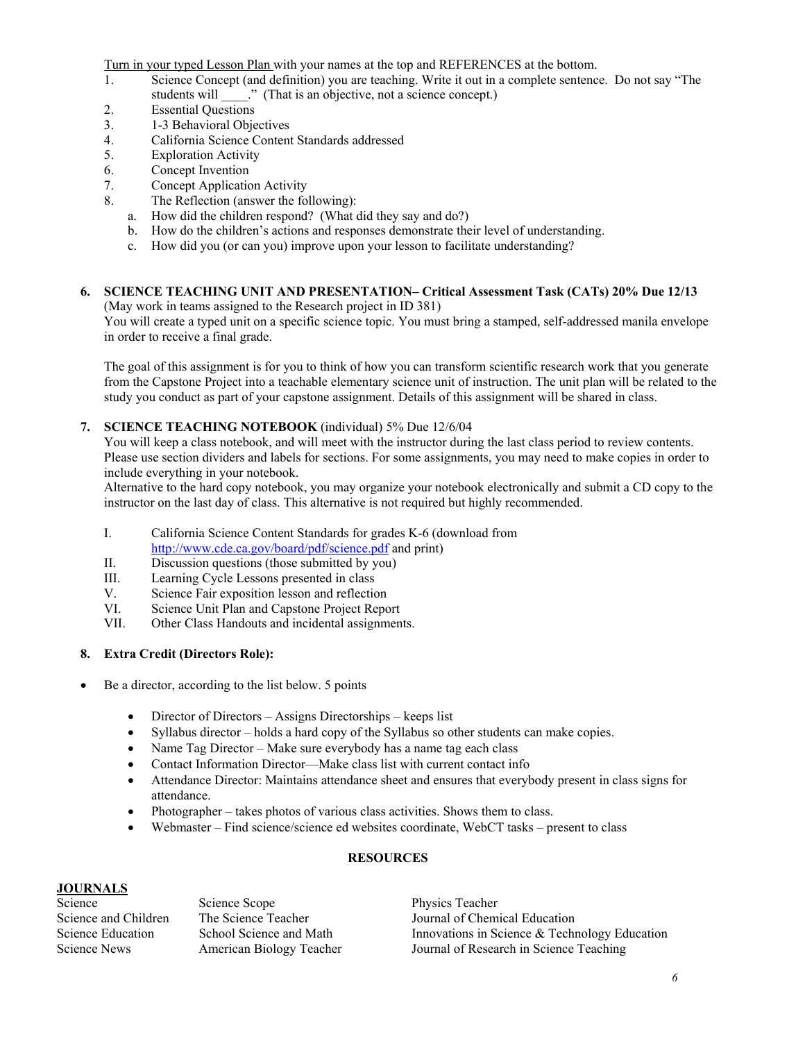Turn in your typed Lesson Plan with your names at the top and REFERENCES at the bottom.

- 1. Science Concept (and definition) you are teaching. Write it out in a complete sentence. Do not say "The students will \_\_\_\_." (That is an objective, not a science concept.)
- 2. Essential Questions
- 3. 1-3 Behavioral Objectives
- 4. California Science Content Standards addressed
- 5. Exploration Activity
- 6. Concept Invention
- 7. Concept Application Activity
- 8. The Reflection (answer the following):
	- a. How did the children respond? (What did they say and do?)
	- b. How do the children's actions and responses demonstrate their level of understanding.
	- c. How did you (or can you) improve upon your lesson to facilitate understanding?

#### **6. SCIENCE TEACHING UNIT AND PRESENTATION– Critical Assessment Task (CATs) 20% Due 12/13**  (May work in teams assigned to the Research project in ID 381)

You will create a typed unit on a specific science topic. You must bring a stamped, self-addressed manila envelope in order to receive a final grade.

The goal of this assignment is for you to think of how you can transform scientific research work that you generate from the Capstone Project into a teachable elementary science unit of instruction. The unit plan will be related to the study you conduct as part of your capstone assignment. Details of this assignment will be shared in class.

## **7. SCIENCE TEACHING NOTEBOOK** (individual) 5% Due 12/6/04

You will keep a class notebook, and will meet with the instructor during the last class period to review contents. Please use section dividers and labels for sections. For some assignments, you may need to make copies in order to include everything in your notebook.

Alternative to the hard copy notebook, you may organize your notebook electronically and submit a CD copy to the instructor on the last day of class. This alternative is not required but highly recommended.

- I. California Science Content Standards for grades K-6 (download from http://www.cde.ca.gov/board/pdf/science.pdf and print)
- II. Discussion questions (those submitted by you)<br>III. Learning Cycle Lessons presented in class
- Learning Cycle Lessons presented in class
- V. Science Fair exposition lesson and reflection
- VI. Science Unit Plan and Capstone Project Report
- VII. Other Class Handouts and incidental assignments.

# **8. Extra Credit (Directors Role):**

- Be a director, according to the list below. 5 points
	- Director of Directors Assigns Directorships keeps list
	- Syllabus director holds a hard copy of the Syllabus so other students can make copies.
	- Name Tag Director Make sure everybody has a name tag each class
	- Contact Information Director—Make class list with current contact info
	- Attendance Director: Maintains attendance sheet and ensures that everybody present in class signs for attendance.
	- Photographer takes photos of various class activities. Shows them to class.
	- Webmaster Find science/science ed websites coordinate, WebCT tasks present to class

## **RESOURCES**

# **JOURNALS**

Science Science Scope Physics Teacher

Science and Children The Science Teacher Journal of Chemical Education Science Education School Science and Math Innovations in Science & Technology Education Science News American Biology Teacher Journal of Research in Science Teaching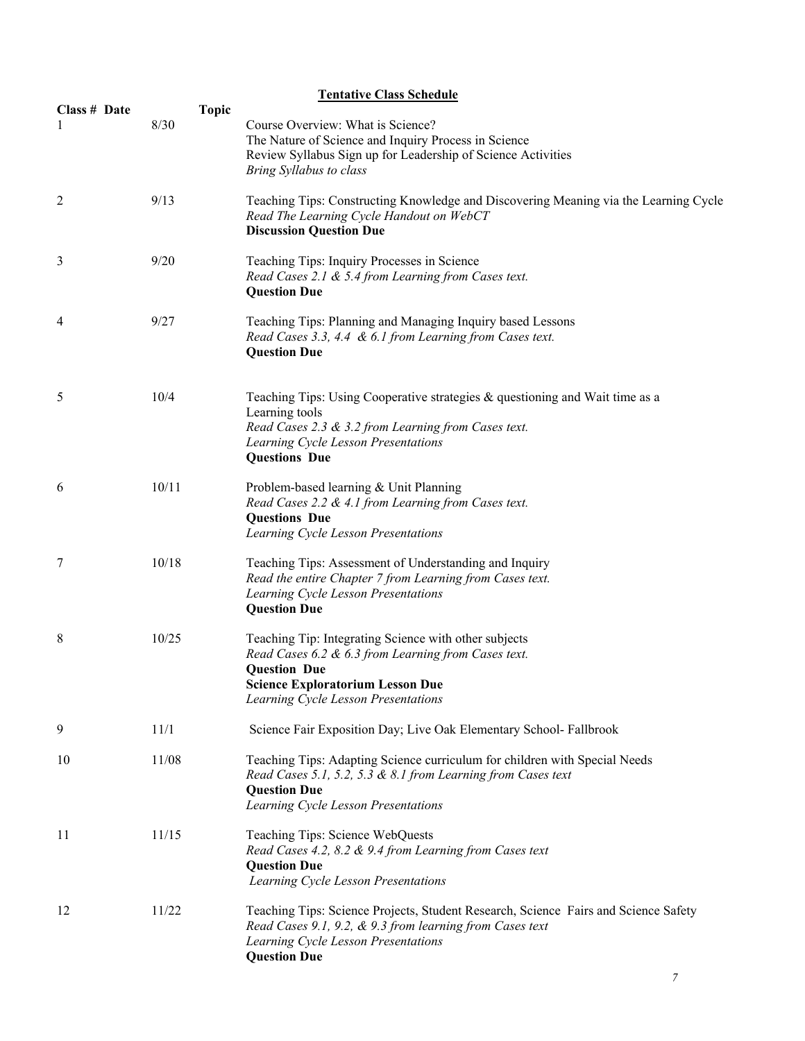| <b>Tentative Class Schedule</b> |                      |                                                                                                                                                                                                                       |  |
|---------------------------------|----------------------|-----------------------------------------------------------------------------------------------------------------------------------------------------------------------------------------------------------------------|--|
| Class # Date<br>1               | <b>Topic</b><br>8/30 | Course Overview: What is Science?<br>The Nature of Science and Inquiry Process in Science<br>Review Syllabus Sign up for Leadership of Science Activities<br>Bring Syllabus to class                                  |  |
| 2                               | 9/13                 | Teaching Tips: Constructing Knowledge and Discovering Meaning via the Learning Cycle<br>Read The Learning Cycle Handout on WebCT<br><b>Discussion Question Due</b>                                                    |  |
| 3                               | 9/20                 | Teaching Tips: Inquiry Processes in Science<br>Read Cases 2.1 & 5.4 from Learning from Cases text.<br><b>Question Due</b>                                                                                             |  |
| 4                               | 9/27                 | Teaching Tips: Planning and Managing Inquiry based Lessons<br>Read Cases 3.3, 4.4 & 6.1 from Learning from Cases text.<br><b>Question Due</b>                                                                         |  |
| 5                               | 10/4                 | Teaching Tips: Using Cooperative strategies & questioning and Wait time as a<br>Learning tools<br>Read Cases 2.3 & 3.2 from Learning from Cases text.<br>Learning Cycle Lesson Presentations<br><b>Questions Due</b>  |  |
| 6                               | 10/11                | Problem-based learning & Unit Planning<br>Read Cases 2.2 & 4.1 from Learning from Cases text.<br><b>Questions Due</b><br>Learning Cycle Lesson Presentations                                                          |  |
| 7                               | 10/18                | Teaching Tips: Assessment of Understanding and Inquiry<br>Read the entire Chapter 7 from Learning from Cases text.<br>Learning Cycle Lesson Presentations<br><b>Question Due</b>                                      |  |
| 8                               | 10/25                | Teaching Tip: Integrating Science with other subjects<br>Read Cases 6.2 & 6.3 from Learning from Cases text.<br><b>Question Due</b><br><b>Science Exploratorium Lesson Due</b><br>Learning Cycle Lesson Presentations |  |
| 9                               | 11/1                 | Science Fair Exposition Day; Live Oak Elementary School-Fallbrook                                                                                                                                                     |  |
| 10                              | 11/08                | Teaching Tips: Adapting Science curriculum for children with Special Needs<br>Read Cases 5.1, 5.2, 5.3 & 8.1 from Learning from Cases text<br><b>Question Due</b><br>Learning Cycle Lesson Presentations              |  |
| 11                              | 11/15                | Teaching Tips: Science WebQuests<br>Read Cases 4.2, 8.2 & 9.4 from Learning from Cases text<br><b>Question Due</b><br>Learning Cycle Lesson Presentations                                                             |  |
| 12                              | 11/22                | Teaching Tips: Science Projects, Student Research, Science Fairs and Science Safety<br>Read Cases 9.1, 9.2, & 9.3 from learning from Cases text<br>Learning Cycle Lesson Presentations<br><b>Question Due</b>         |  |